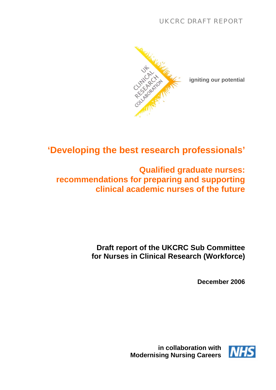

**igniting our potential**

# **'Developing the best research professionals'**

## **Qualified graduate nurses: recommendations for preparing and supporting clinical academic nurses of the future**

## **Draft report of the UKCRC Sub Committee for Nurses in Clinical Research (Workforce)**

**December 2006**



**in collaboration with Modernising Nursing Careers**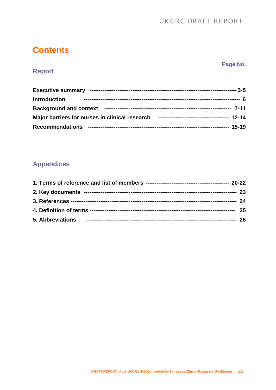## UKCRC DRAFT REPORT

## **Contents**

**Report** 

### **Page No.**

## **Executive summary ------------------------------------------------------------------------------- 3-5 Introduction ------------------------------------------------------------------------------------ 6 Background and context -------------------------------------------------------------------- 7-11 Major barriers for nurses in clinical research -------------------------------------- 12-14 Recommendations ---------------------------------------------------------------------------- 15-19**

## **Appendices**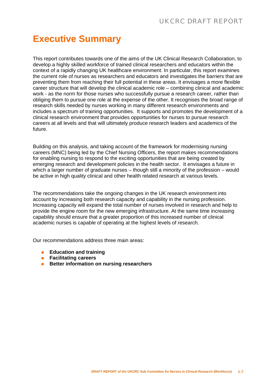# **Executive Summary**

This report contributes towards one of the aims of the UK Clinical Research Collaboration, to develop a highly skilled workforce of trained clinical researchers and educators within the context of a rapidly changing UK healthcare environment. In particular, this report examines the current role of nurses as researchers and educators and investigates the barriers that are preventing them from reaching their full potential in these areas. It envisages a more flexible career structure that will develop the clinical academic role – combining clinical and academic work - as the norm for those nurses who successfully pursue a research career, rather than obliging them to pursue one role at the expense of the other. It recognises the broad range of research skills needed by nurses working in many different research environments and includes a spectrum of training opportunities. It supports and promotes the development of a clinical research environment that provides opportunities for nurses to pursue research careers at all levels and that will ultimately produce research leaders and academics of the future.

Building on this analysis, and taking account of the framework for modernising nursing careers (MNC) being led by the Chief Nursing Officers, the report makes recommendations for enabling nursing to respond to the exciting opportunities that are being created by emerging research and development policies in the health sector. It envisages a future in which a larger number of graduate nurses – though still a minority of the profession – would be active in high quality clinical and other health related research at various levels.

The recommendations take the ongoing changes in the UK research environment into account by increasing both research capacity and capability in the nursing profession. Increasing capacity will expand the total number of nurses involved in research and help to provide the engine room for the new emerging infrastructure. At the same time increasing capability should ensure that a greater proportion of this increased number of clinical academic nurses is capable of operating at the highest levels of research.

Our recommendations address three main areas:

- **Education and training**
- **Facilitating careers**
- **Better information on nursing researchers**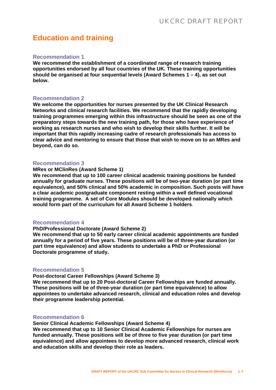## **Education and training**

### **Recommendation 1**

**We recommend the establishment of a coordinated range of research training opportunities endorsed by all four countries of the UK. These training opportunities should be organised at four sequential levels (Award Schemes 1 – 4), as set out below.** 

### **Recommendation 2**

**We welcome the opportunities for nurses presented by the UK Clinical Research Networks and clinical research facilities. We recommend that the rapidly developing training programmes emerging within this infrastructure should be seen as one of the preparatory steps towards the new training path, for those who have experience of working as research nurses and who wish to develop their skills further. It will be important that this rapidly increasing cadre of research professionals has access to clear advice and mentoring to ensure that those that wish to move on to an MRes and beyond, can do so.** 

### **Recommendation 3**

### **MRes or MClinRes (Award Scheme 1)**

**We recommend that up to 100 career clinical academic training positions be funded annually for graduate nurses. These positions will be of two-year duration (or part time equivalence), and 50% clinical and 50% academic in composition. Such posts will have a clear academic postgraduate component resting within a well defined vocational training programme. A set of Core Modules should be developed nationally which would form part of the curriculum for all Award Scheme 1 holders**.

### **Recommendation 4**

#### **PhD/Professional Doctorate (Award Scheme 2)**

**We recommend that up to 50 early career clinical academic appointments are funded annually for a period of five years. These positions will be of three-year duration (or part time equivalence) and allow students to undertake a PhD or Professional Doctorate programme of study.** 

### **Recommendation 5**

### **Post-doctoral Career Fellowships (Award Scheme 3)**

**We recommend that up to 20 Post-doctoral Career Fellowships are funded annually. These positions will be of three-year duration (or part time equivalence) to allow appointees to undertake advanced research, clinical and education roles and develop their programme leadership potential.** 

### **Recommendation 6**

**Senior Clinical Academic Fellowships (Award Scheme 4)** 

**We recommend that up to 10 Senior Clinical Academic Fellowships for nurses are funded annually. These positions will be of three to five year duration (or part time equivalence) and allow appointees to develop more advanced research, clinical work and education skills and develop their role as leaders.**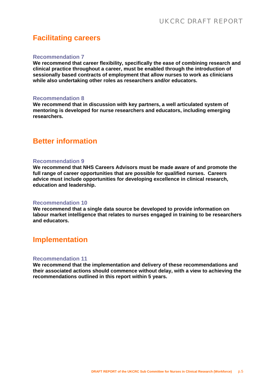## **Facilitating careers**

### **Recommendation 7**

**We recommend that career flexibility, specifically the ease of combining research and clinical practice throughout a career, must be enabled through the introduction of sessionally based contracts of employment that allow nurses to work as clinicians while also undertaking other roles as researchers and/or educators.** 

#### **Recommendation 8**

**We recommend that in discussion with key partners, a well articulated system of mentoring is developed for nurse researchers and educators, including emerging researchers.** 

## **Better information**

### **Recommendation 9**

**We recommend that NHS Careers Advisors must be made aware of and promote the full range of career opportunities that are possible for qualified nurses. Careers advice must include opportunities for developing excellence in clinical research, education and leadership.** 

### **Recommendation 10**

**We recommend that a single data source be developed to provide information on labour market intelligence that relates to nurses engaged in training to be researchers and educators.**

## **Implementation**

### **Recommendation 11**

**We recommend that the implementation and delivery of these recommendations and their associated actions should commence without delay, with a view to achieving the recommendations outlined in this report within 5 years.**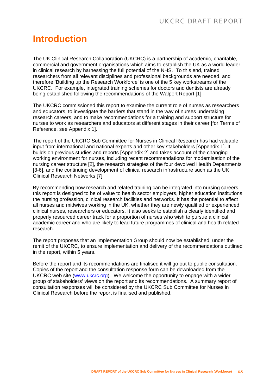# **Introduction**

The UK Clinical Research Collaboration (UKCRC) is a partnership of academic, charitable, commercial and government organisations which aims to establish the UK as a world leader in clinical research by harnessing the full potential of the NHS. To this end, trained researchers from all relevant disciplines and professional backgrounds are needed, and therefore 'Building up the Research Workforce' is one of the 5 key workstreams of the UKCRC. For example, integrated training schemes for doctors and dentists are already being established following the recommendations of the Walport Report [1].

The UKCRC commissioned this report to examine the current role of nurses as researchers and educators, to investigate the barriers that stand in the way of nurses undertaking research careers, and to make recommendations for a training and support structure for nurses to work as researchers and educators at different stages in their career [for Terms of Reference, see Appendix 1].

The report of the UKCRC Sub Committee for Nurses in Clinical Research has had valuable input from international and national experts and other key stakeholders [Appendix 1]. It builds on previous studies and reports [Appendix 2] and takes account of the changing working environment for nurses, including recent recommendations for modernisation of the nursing career structure [2], the research strategies of the four devolved Health Departments [3-6], and the continuing development of clinical research infrastructure such as the UK Clinical Research Networks [7].

By recommending how research and related training can be integrated into nursing careers, this report is designed to be of value to health sector employers, higher education institutions, the nursing profession, clinical research facilities and networks. It has the potential to affect all nurses and midwives working in the UK, whether they are newly qualified or experienced clinical nurses, researchers or educators. It also seeks to establish a clearly identified and properly resourced career track for a proportion of nurses who wish to pursue a clinical academic career and who are likely to lead future programmes of clinical and health related research.

The report proposes that an Implementation Group should now be established, under the remit of the UKCRC, to ensure implementation and delivery of the recommendations outlined in the report, within 5 years.

Before the report and its recommendations are finalised it will go out to public consultation. Copies of the report and the consultation response form can be downloaded from the UKCRC web site [\(www.ukcrc.org](http://www.ukcrc.org/)). We welcome the opportunity to engage with a wider group of stakeholders' views on the report and its recommendations. A summary report of consultation responses will be considered by the UKCRC Sub Committee for Nurses in Clinical Research before the report is finalised and published.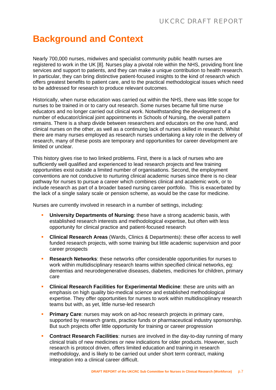# **Background and Context**

Nearly 700,000 nurses, midwives and specialist community public health nurses are registered to work in the UK [8]. Nurses play a pivotal role within the NHS, providing front line services and support to patients, and they can make a unique contribution to health research. In particular, they can bring distinctive patient-focused insights to the kind of research which offers greatest benefits to patient care, and to the practical methodological issues which need to be addressed for research to produce relevant outcomes.

Historically, when nurse education was carried out within the NHS, there was little scope for nurses to be trained in or to carry out research. Some nurses became full time nurse educators and no longer carried out clinical work. Notwithstanding the development of a number of educator/clinical joint appointments in Schools of Nursing, the overall pattern remains. There is a sharp divide between researchers and educators on the one hand, and clinical nurses on the other, as well as a continuing lack of nurses skilled in research. Whilst there are many nurses employed as research nurses undertaking a key role in the delivery of research, many of these posts are temporary and opportunities for career development are limited or unclear.

This history gives rise to two linked problems. First, there is a lack of nurses who are sufficiently well qualified and experienced to lead research projects and few training opportunities exist outside a limited number of organisations. Second, the employment conventions are not conducive to nurturing clinical academic nurses since there is no clear pathway for nurses to pursue a career which combines clinical and academic work, or to include research as part of a broader based nursing career portfolio. This is exacerbated by the lack of a single salary scale or pension scheme, as would be the case for medicine.

Nurses are currently involved in research in a number of settings, including:

- **University Departments of Nursing**: these have a strong academic basis, with established research interests and methodological expertise, but often with less opportunity for clinical practice and patient-focused research
- **Clinical Research Areas** (Wards, Clinics & Departments): these offer access to well funded research projects, with some training but little academic supervision and poor career prospects
- **Research Networks**: these networks offer considerable opportunities for nurses to work within multidisciplinary research teams within specified clinical networks, eg: dementias and neurodegenerative diseases, diabetes, medicines for children, primary care
- **Clinical Research Facilities for Experimental Medicine**: these are units with an emphasis on high quality bio-medical science and established methodological expertise. They offer opportunities for nurses to work within multidisciplinary research teams but with, as yet, little nurse-led research
- **Primary Care:** nurses may work on ad-hoc research projects in primary care, supported by research grants, practice funds or pharmaceutical industry sponsorship. But such projects offer little opportunity for training or career progression
- **Contract Research Facilities**: nurses are involved in the day-to-day running of many clinical trials of new medicines or new indications for older products. However, such research is protocol driven, offers limited education and training in research methodology, and is likely to be carried out under short term contract, making integration into a clinical career difficult.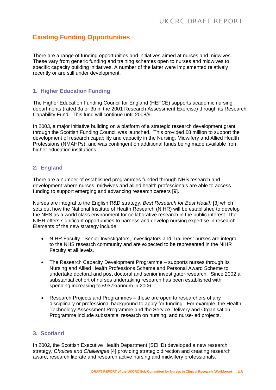## **Existing Funding Opportunities**

There are a range of funding opportunities and initiatives aimed at nurses and midwives. These vary from generic funding and training schemes open to nurses and midwives to specific capacity building initiatives. A number of the latter were implemented relatively recently or are still under development.

### **1. Higher Education Funding**

The Higher Education Funding Council for England (HEFCE) supports academic nursing departments (rated 3a or 3b in the 2001 Research Assessment Exercise) through its Research Capability Fund. This fund will continue until 2008/9.

In 2003, a major initiative building on a platform of a strategic research development grant through the Scottish Funding Council was launched. This provided £8 million to support the development of research capability and capacity in the Nursing, Midwifery and Allied Health Professions (NMAHPs), and was contingent on additional funds being made available from higher education institutions.

### **2. England**

There are a number of established programmes funded through NHS research and development where nurses, midwives and allied health professionals are able to access funding to support emerging and advancing research careers [9].

Nurses are integral to the English R&D strategy, *Best Research for Best Health* [3] which sets out how the National Institute of Health Research (NIHR) will be established to develop the NHS as a world class environment for collaborative research in the public interest. The NIHR offers significant opportunities to harness and develop nursing expertise in research. Elements of the new strategy include:

- NIHR Faculty Senior Investigators, Investigators and Trainees*:* nurses are integral to the NHS research community and are expected to be represented in the NIHR Faculty at all levels.
- The Research Capacity Development Programme supports nurses through its Nursing and Allied Health Professions Scheme and Personal Award Scheme to undertake doctoral and post doctoral and senior investigator research. Since 2002 a substantial cohort of nurses undertaking research has been established with spending increasing to £937k/annum in 2006.
- Research Projects and Programmes these are open to researchers of any disciplinary or professional background to apply for funding. For example, the Health Technology Assessment Programme and the Service Delivery and Organisation Programme include substantial research on nursing, and nurse-led projects.

### **3. Scotland**

In 2002, the Scottish Executive Health Department (SEHD) developed a new research strategy, *Choices and Challenges* [4] providing strategic direction and creating research aware, research literate and research active nursing and midwifery professionals.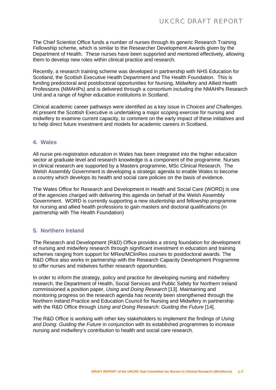The Chief Scientist Office funds a number of nurses through its generic Research Training Fellowship scheme, which is similar to the Researcher Development Awards given by the Department of Health. These nurses have been supported and mentored effectively, allowing them to develop new roles within clinical practice and research.

Recently, a research training scheme was developed in partnership with NHS Education for Scotland, the Scottish Executive Health Department and The Health Foundation. This is funding predoctoral and postdoctoral opportunities for Nursing, Midwifery and Allied Health Professions (NMAHPs) and is delivered through a consortium including the NMAHPs Research Unit and a range of higher education institutions in Scotland.

Clinical academic career pathways were identified as a key issue in *Choices and Challenges*. At present the Scottish Executive is undertaking a major scoping exercise for nursing and midwifery to examine current capacity, to comment on the early impact of these initiatives and to help direct future investment and models for academic careers in Scotland.

### **4. Wales**

All nurse pre-registration education in Wales has been integrated into the higher education sector at graduate level and research knowledge is a component of the programme. Nurses in clinical research are supported by a Masters programme, MSc Clinical Research. The Welsh Assembly Government is developing a strategic agenda to enable Wales to become a country which develops its health and social care policies on the basis of evidence.

The Wales Office for Research and Development in Health and Social Care (WORD) is one of the agencies charged with delivering this agenda on behalf of the Welsh Assembly Government. WORD is currently supporting a new studentship and fellowship programme for nursing and allied health professions to gain masters and doctoral qualifications (in partnership with The Health Foundation)

### **5. Northern Ireland**

The Research and Development (R&D) Office provides a strong foundation for development of nursing and midwifery research through significant investment in education and training schemes ranging from support for MRes/MClinRes courses to postdoctoral awards. The R&D Office also works in partnership with the Research Capacity Development Programme to offer nurses and midwives further research opportunities.

In order to inform the strategy, policy and practice for developing nursing and midwifery research, the Department of Health, Social Services and Public Safety for Northern Ireland commissioned a position paper, *Using and Doing Research* [13]. Maintaining and monitoring progress on the research agenda has recently been strengthened through the Northern Ireland Practice and Education Council for Nursing and Midwifery in partnership with the R&D Office through *Using and Doing Research: Guiding the Future* [14].

The R&D Office is working with other key stakeholders to implement the findings of *Using and Doing: Guiding the Future* in conjunction with its established programmes to increase nursing and midwifery's contribution to health and social care research.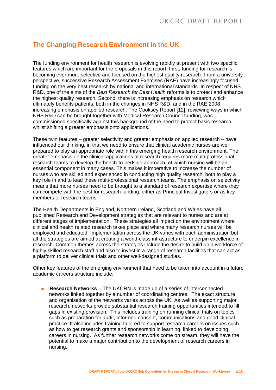## **The Changing Research Environment in the UK**

The funding environment for health research is evolving rapidly at present with two specific features which are important for the proposals in this report. First, funding for research is becoming ever more selective and focused on the highest quality research. From a university perspective, successive Research Assessment Exercises (RAE) have increasingly focused funding on the very best research by national and international standards. In respect of NHS R&D, one of the aims of the *Best Research for Best Health* reforms is to protect and enhance the highest quality research. Second, there is increasing emphasis on research which ultimately benefits patients, both in the changes in NHS R&D, and in the RAE 2008 increasing emphasis on applied research. The Cooksey Report [12], reviewing ways in which NHS R&D can be brought together with Medical Research Council funding, was commissioned specifically against this background of the need to protect basic research whilst shifting a greater emphasis onto applications.

These twin features – greater selectivity and greater emphasis on applied research – have influenced our thinking, in that we need to ensure that clinical academic nurses are well prepared to play an appropriate role within this emerging health research environment. The greater emphasis on the clinical applications of research requires more multi-professional research teams to develop the bench-to-bedside approach, of which nursing will be an essential component in many cases. This makes it imperative to increase the number of nurses who are skilled and experienced in conducting high quality research, both to play a key role in and to lead these multi-professional research teams. The emphasis on selectivity means that more nurses need to be brought to a standard of research expertise where they can compete with the best for research funding, either as Principal Investigators or as key members of research teams.

The Health Departments in England, Northern Ireland, Scotland and Wales have all published Research and Development strategies that are relevant to nurses and are at different stages of implementation. These strategies all impact on the environment where clinical and health related research takes place and where many research nurses will be employed and educated. Implementation across the UK varies with each administration but all the strategies are aimed at creating a world-class infrastructure to underpin excellence in research. Common themes across the strategies include the desire to build up a workforce of highly skilled research staff and also to invest in a range of research facilities that can act as a platform to deliver clinical trials and other well-designed studies.

Other key features of the emerging environment that need to be taken into account in a future academic careers structure include:

 **Research Networks** – The UKCRN is made up of a series of interconnected networks linked together by a number of coordinating centres. The exact structure and organisation of the networks varies across the UK. As well as supporting major research, networks provide substantial research training opportunities intended to fill gaps in existing provision. This includes training on running clinical trials on topics such as preparation for audit, informed consent, communications and good clinical practice. It also includes training tailored to support research careers on issues such as how to get research grants and sponsorship in learning, linked to developing careers in nursing. As further research networks come on stream, they will have the potential to make a major contribution to the development of research careers in nursing.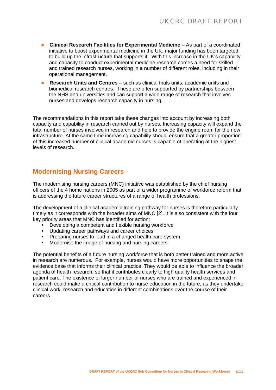- **Clinical Research Facilities for Experimental Medicine** As part of a coordinated initiative to boost experimental medicine in the UK, major funding has been targeted to build up the infrastructure that supports it. With this increase in the UK's capability and capacity to conduct experimental medicine research comes a need for skilled and trained research nurses, working in a number of different roles, including in their operational management.
- **Research Units and Centres** such as clinical trials units, academic units and biomedical research centres. These are often supported by partnerships between the NHS and universities and can support a wide range of research that involves nurses and develops research capacity in nursing.

The recommendations in this report take these changes into account by increasing both capacity and capability in research carried out by nurses. Increasing capacity will expand the total number of nurses involved in research and help to provide the engine room for the new infrastructure. At the same time increasing capability should ensure that a greater proportion of this increased number of clinical academic nurses is capable of operating at the highest levels of research.

## **Modernising Nursing Careers**

The modernising nursing careers (MNC) initiative was established by the chief nursing officers of the 4 home nations in 2005 as part of a wider programme of workforce reform that is addressing the future career structures of a range of health professions.

The development of a clinical academic training pathway for nurses is therefore particularly timely as it corresponds with the broader aims of MNC [2]. It is also consistent with the four key priority areas that MNC has identified for action:

- Developing a competent and flexible nursing workforce
- **Updating career pathways and career choices**
- **Preparing nurses to lead in a changed health care system**
- Modernise the image of nursing and nursing careers

The potential benefits of a future nursing workforce that is both better trained and more active in research are numerous. For example, nurses would have more opportunities to shape the evidence base that informs their clinical practice. They would be able to influence the broader agenda of health research, so that it contributes clearly to high quality health services and patient care. The existence of larger number of nurses who are trained and experienced in research could make a critical contribution to nurse education in the future, as they undertake clinical work, research and education in different combinations over the course of their careers.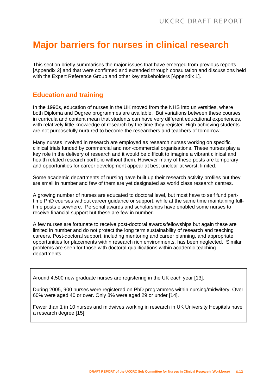# **Major barriers for nurses in clinical research**

This section briefly summarises the major issues that have emerged from previous reports [Appendix 2] and that were confirmed and extended through consultation and discussions held with the Expert Reference Group and other key stakeholders [Appendix 1].

### **Education and training**

In the 1990s, education of nurses in the UK moved from the NHS into universities, where both Diploma and Degree programmes are available. But variations between these courses in curricula and content mean that students can have very different educational experiences, with relatively little knowledge of research by the time they register. High achieving students are not purposefully nurtured to become the researchers and teachers of tomorrow.

Many nurses involved in research are employed as research nurses working on specific clinical trials funded by commercial and non-commercial organisations. These nurses play a key role in the delivery of research and it would be difficult to imagine a vibrant clinical and health related research portfolio without them. However many of these posts are temporary and opportunities for career development appear at best unclear at worst, limited.

Some academic departments of nursing have built up their research activity profiles but they are small in number and few of them are yet designated as world class research centres.

A growing number of nurses are educated to doctoral level, but most have to self fund parttime PhD courses without career guidance or support, while at the same time maintaining fulltime posts elsewhere. Personal awards and scholarships have enabled some nurses to receive financial support but these are few in number.

A few nurses are fortunate to receive post-doctoral awards/fellowships but again these are limited in number and do not protect the long term sustainability of research and teaching careers. Post-doctoral support, including mentoring and career planning, and appropriate opportunities for placements within research rich environments, has been neglected. Similar problems are seen for those with doctoral qualifications within academic teaching departments.

Around 4,500 new graduate nurses are registering in the UK each year [13].

During 2005, 900 nurses were registered on PhD programmes within nursing/midwifery. Over 60% were aged 40 or over. Only 8% were aged 29 or under [14].

Fewer than 1 in 10 nurses and midwives working in research in UK University Hospitals have a research degree [15].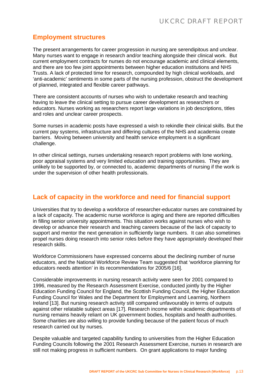## **Employment structures**

The present arrangements for career progression in nursing are serendipitous and unclear. Many nurses want to engage in research and/or teaching alongside their clinical work. But current employment contracts for nurses do not encourage academic and clinical elements, and there are too few joint appointments between higher education institutions and NHS Trusts. A lack of protected time for research, compounded by high clinical workloads, and 'anti-academic' sentiments in some parts of the nursing profession, obstruct the development of planned, integrated and flexible career pathways.

There are consistent accounts of nurses who wish to undertake research and teaching having to leave the clinical setting to pursue career development as researchers or educators. Nurses working as researchers report large variations in job descriptions, titles and roles and unclear career prospects.

Some nurses in academic posts have expressed a wish to rekindle their clinical skills. But the current pay systems, infrastructure and differing cultures of the NHS and academia create barriers. Moving between university and health service employment is a significant challenge.

In other clinical settings, nurses undertaking research report problems with lone working, poor appraisal systems and very limited education and training opportunities. They are unlikely to be supported by, or connected to, academic departments of nursing if the work is under the supervision of other health professionals.

### **Lack of capacity in the workforce and need for financial support**

Universities that try to develop a workforce of researcher-educator nurses are constrained by a lack of capacity. The academic nurse workforce is aging and there are reported difficulties in filling senior university appointments. This situation works against nurses who wish to develop or advance their research and teaching careers because of the lack of capacity to support and mentor the next generation in sufficiently large numbers. It can also sometimes propel nurses doing research into senior roles before they have appropriately developed their research skills.

Workforce Commissioners have expressed concerns about the declining number of nurse educators, and the National Workforce Review Team suggested that 'workforce planning for educators needs attention' in its recommendations for 2005/6 [16].

Considerable improvements in nursing research activity were seen for 2001 compared to 1996, measured by the Research Assessment Exercise, conducted jointly by the Higher Education Funding Council for England, the Scottish Funding Council, the Higher Education Funding Council for Wales and the Department for Employment and Learning, Northern Ireland [13]. But nursing research activity still compared unfavourably in terms of outputs against other relatable subject areas [17]. Research income within academic departments of nursing remains heavily reliant on UK government bodies, hospitals and health authorities. Some charities are also willing to provide funding because of the patient focus of much research carried out by nurses.

Despite valuable and targeted capability funding to universities from the Higher Education Funding Councils following the 2001 Research Assessment Exercise, nurses in research are still not making progress in sufficient numbers. On grant applications to major funding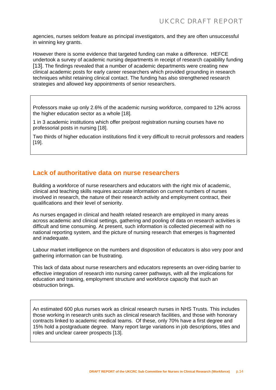agencies, nurses seldom feature as principal investigators, and they are often unsuccessful in winning key grants.

However there is some evidence that targeted funding can make a difference. HEFCE undertook a survey of academic nursing departments in receipt of research capability funding [13]. The findings revealed that a number of academic departments were creating new clinical academic posts for early career researchers which provided grounding in research techniques whilst retaining clinical contact. The funding has also strengthened research strategies and allowed key appointments of senior researchers.

Professors make up only 2.6% of the academic nursing workforce, compared to 12% across the higher education sector as a whole [18].

1 in 3 academic institutions which offer pre/post registration nursing courses have no professorial posts in nursing [18].

Two thirds of higher education institutions find it very difficult to recruit professors and readers [19].

### **Lack of authoritative data on nurse researchers**

Building a workforce of nurse researchers and educators with the right mix of academic, clinical and teaching skills requires accurate information on current numbers of nurses involved in research, the nature of their research activity and employment contract, their qualifications and their level of seniority.

As nurses engaged in clinical and health related research are employed in many areas across academic and clinical settings, gathering and pooling of data on research activities is difficult and time consuming. At present, such information is collected piecemeal with no national reporting system, and the picture of nursing research that emerges is fragmented and inadequate.

Labour market intelligence on the numbers and disposition of educators is also very poor and gathering information can be frustrating.

This lack of data about nurse researchers and educators represents an over-riding barrier to effective integration of research into nursing career pathways, with all the implications for education and training, employment structure and workforce capacity that such an obstruction brings.

An estimated 600 plus nurses work as clinical research nurses in NHS Trusts. This includes those working in research units such as clinical research facilities, and those with honorary contracts linked to academic medical teams. Of these, only 70% have a first degree and 15% hold a postgraduate degree. Many report large variations in job descriptions, titles and roles and unclear career prospects [13].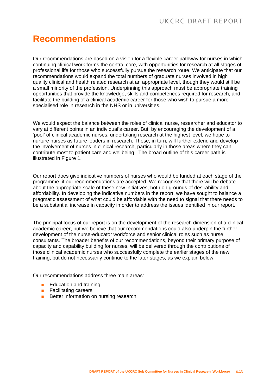# **Recommendations**

Our recommendations are based on a vision for a flexible career pathway for nurses in which continuing clinical work forms the central core, with opportunities for research at all stages of professional life for those who successfully pursue the research route. We anticipate that our recommendations would expand the total numbers of graduate nurses involved in high quality clinical and health related research at an appropriate level, though they would still be a small minority of the profession. Underpinning this approach must be appropriate training opportunities that provide the knowledge, skills and competences required for research, and facilitate the building of a clinical academic career for those who wish to pursue a more specialised role in research in the NHS or in universities.

We would expect the balance between the roles of clinical nurse, researcher and educator to vary at different points in an individual's career. But, by encouraging the development of a 'pool' of clinical academic nurses, undertaking research at the highest level, we hope to nurture nurses as future leaders in research. These, in turn, will further extend and develop the involvement of nurses in clinical research, particularly in those areas where they can contribute most to patient care and wellbeing. The broad outline of this career path is illustrated in Figure 1.

Our report does give indicative numbers of nurses who would be funded at each stage of the programme, if our recommendations are accepted. We recognise that there will be debate about the appropriate scale of these new initiatives, both on grounds of desirability and affordability. In developing the indicative numbers in the report, we have sought to balance a pragmatic assessment of what could be affordable with the need to signal that there needs to be a substantial increase in capacity in order to address the issues identified in our report.

The principal focus of our report is on the development of the research dimension of a clinical academic career, but we believe that our recommendations could also underpin the further development of the nurse-educator workforce and senior clinical roles such as nurse consultants. The broader benefits of our recommendations, beyond their primary purpose of capacity and capability building for nurses, will be delivered through the contributions of those clinical academic nurses who successfully complete the earlier stages of the new training, but do not necessarily continue to the later stages, as we explain below.

Our recommendations address three main areas:

- $\blacksquare$  Education and training
- **Facilitating careers**
- Better information on nursing research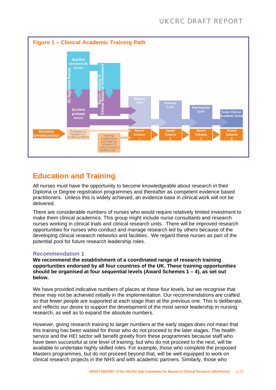

## **Education and Training**

All nurses must have the opportunity to become knowledgeable about research in their Diploma or Degree registration programmes and thereafter as competent evidence based practitioners. Unless this is widely achieved, an evidence base in clinical work will not be delivered.

There are considerable numbers of nurses who would require relatively limited investment to make them clinical academics. This group might include nurse consultants and research nurses working in clinical trials and clinical research units. There will be improved research opportunities for nurses who conduct and manage research led by others because of the developing clinical research networks and facilities. We regard these nurses as part of the potential pool for future research leadership roles.

### **Recommendation 1**

**We recommend the establishment of a coordinated range of research training opportunities endorsed by all four countries of the UK. These training opportunities should be organised at four sequential levels (Award Schemes 1 – 4), as set out below.** 

We have provided indicative numbers of places at these four levels, but we recognise that these may not be achieved initially in the implementation. Our recommendations are crafted so that fewer people are supported at each stage than at the previous one. This is deliberate, and reflects our desire to support the development of the most senior leadership in nursing research, as well as to expand the absolute numbers.

However, giving research training to larger numbers at the early stages does not mean that this training has been wasted for those who do not proceed to the later stages. The health service and the HEI sector will benefit greatly from these programmes because staff who have been successful at one level of training, but who do not proceed to the next, will be available to undertake highly skilled roles. For example, those who complete the proposed Masters programmes, but do not proceed beyond that, will be well equipped to work on clinical research projects in the NHS and with academic partners. Similarly, those who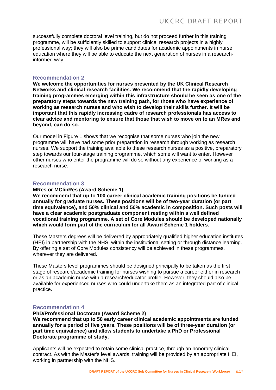successfully complete doctoral level training, but do not proceed further in this training programme, will be sufficiently skilled to support clinical research projects in a highly professional way; they will also be prime candidates for academic appointments in nurse education where they will be able to educate the next generation of nurses in a researchinformed way.

### **Recommendation 2**

**We welcome the opportunities for nurses presented by the UK Clinical Research Networks and clinical research facilities. We recommend that the rapidly developing training programmes emerging within this infrastructure should be seen as one of the preparatory steps towards the new training path, for those who have experience of working as research nurses and who wish to develop their skills further. It will be important that this rapidly increasing cadre of research professionals has access to clear advice and mentoring to ensure that those that wish to move on to an MRes and beyond, can do so.** 

Our model in Figure 1 shows that we recognise that some nurses who join the new programme will have had some prior preparation in research through working as research nurses. We support the training available to these research nurses as a positive, preparatory step towards our four-stage training programme, which some will want to enter. However other nurses who enter the programme will do so without any experience of working as a research nurse.

### **Recommendation 3**

### **MRes or MClinRes (Award Scheme 1)**

**We recommend that up to 100 career clinical academic training positions be funded annually for graduate nurses. These positions will be of two-year duration (or part time equivalence), and 50% clinical and 50% academic in composition. Such posts will have a clear academic postgraduate component resting within a well defined vocational training programme. A set of Core Modules should be developed nationally which would form part of the curriculum for all Award Scheme 1 holders.** 

These Masters degrees will be delivered by appropriately qualified higher education institutes (HEI) in partnership with the NHS, within the institutional setting or through distance learning. By offering a set of Core Modules consistency will be achieved in these programmes, wherever they are delivered.

These Masters level programmes should be designed principally to be taken as the first stage of research/academic training for nurses wishing to pursue a career either in research or as an academic nurse with a research/educator profile. However, they should also be available for experienced nurses who could undertake them as an integrated part of clinical practice.

### **Recommendation 4**

**PhD/Professional Doctorate (Award Scheme 2) We recommend that up to 50 early career clinical academic appointments are funded annually for a period of five years. These positions will be of three-year duration (or part time equivalence) and allow students to undertake a PhD or Professional Doctorate programme of study.** 

Applicants will be expected to retain some clinical practice, through an honorary clinical contract. As with the Master's level awards, training will be provided by an appropriate HEI, working in partnership with the NHS.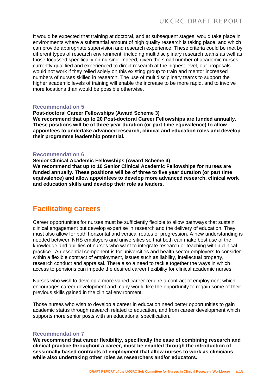It would be expected that training at doctoral, and at subsequent stages, would take place in environments where a substantial amount of high quality research is taking place, and which can provide appropriate supervision and research experience. These criteria could be met by different types of research environment, including multidisciplinary research teams as well as those focussed specifically on nursing. Indeed, given the small number of academic nurses currently qualified and experienced to direct research at the highest level, our proposals would not work if they relied solely on this existing group to train and mentor increased numbers of nurses skilled in research. The use of multidisciplinary teams to support the higher academic levels of training will enable the increase to be more rapid, and to involve more locations than would be possible otherwise.

### **Recommendation 5**

**Post-doctoral Career Fellowships (Award Scheme 3) We recommend that up to 20 Post-doctoral Career Fellowships are funded annually. These positions will be of three-year duration (or part time equivalence) to allow appointees to undertake advanced research, clinical and education roles and develop their programme leadership potential.** 

### **Recommendation 6**

**Senior Clinical Academic Fellowships (Award Scheme 4) We recommend that up to 10 Senior Clinical Academic Fellowships for nurses are funded annually. These positions will be of three to five year duration (or part time equivalence) and allow appointees to develop more advanced research, clinical work and education skills and develop their role as leaders.** 

## **Facilitating careers**

Career opportunities for nurses must be sufficiently flexible to allow pathways that sustain clinical engagement but develop expertise in research and the delivery of education. They must also allow for both horizontal and vertical routes of progression. A new understanding is needed between NHS employers and universities so that both can make best use of the knowledge and abilities of nurses who want to integrate research or teaching within clinical practice. An essential component is for universities and health sector employers to consider within a flexible contract of employment, issues such as liability, intellectual property, research conduct and appraisal. There also a need to tackle together the ways in which access to pensions can impede the desired career flexibility for clinical academic nurses.

Nurses who wish to develop a more varied career require a contract of employment which encourages career development and many would like the opportunity to regain some of their previous skills gained in the clinical environment.

Those nurses who wish to develop a career in education need better opportunities to gain academic status through research related to education, and from career development which supports more senior posts with an educational specification.

### **Recommendation 7**

**We recommend that career flexibility, specifically the ease of combining research and clinical practice throughout a career, must be enabled through the introduction of sessionally based contracts of employment that allow nurses to work as clinicians while also undertaking other roles as researchers and/or educators.**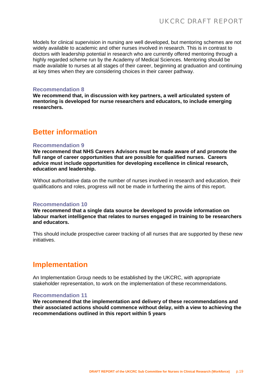Models for clinical supervision in nursing are well developed, but mentoring schemes are not widely available to academic and other nurses involved in research. This is in contrast to doctors with leadership potential in research who are currently offered mentoring through a highly regarded scheme run by the Academy of Medical Sciences. Mentoring should be made available to nurses at all stages of their career, beginning at graduation and continuing at key times when they are considering choices in their career pathway.

### **Recommendation 8**

**We recommend that, in discussion with key partners, a well articulated system of mentoring is developed for nurse researchers and educators, to include emerging researchers.** 

## **Better information**

### **Recommendation 9**

**We recommend that NHS Careers Advisors must be made aware of and promote the full range of career opportunities that are possible for qualified nurses. Careers advice must include opportunities for developing excellence in clinical research, education and leadership.** 

Without authoritative data on the number of nurses involved in research and education, their qualifications and roles, progress will not be made in furthering the aims of this report.

#### **Recommendation 10**

**We recommend that a single data source be developed to provide information on labour market intelligence that relates to nurses engaged in training to be researchers and educators.** 

This should include prospective career tracking of all nurses that are supported by these new initiatives.

## **Implementation**

An Implementation Group needs to be established by the UKCRC, with appropriate stakeholder representation, to work on the implementation of these recommendations.

#### **Recommendation 11**

**We recommend that the implementation and delivery of these recommendations and their associated actions should commence without delay, with a view to achieving the recommendations outlined in this report within 5 years**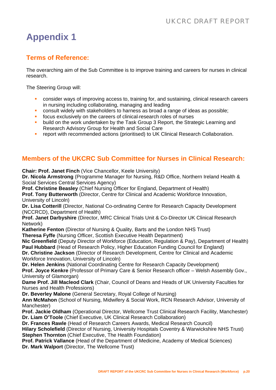## **Terms of Reference:**

The overarching aim of the Sub Committee is to improve training and careers for nurses in clinical research.

The Steering Group will:

- consider ways of improving access to, training for, and sustaining, clinical research careers in nursing including collaborating, managing and leading
- consult widely with stakeholders to harness as broad a range of ideas as possible;
- focus exclusively on the careers of clinical research roles of nurses
- build on the work undertaken by the Task Group 3 Report, the Strategic Learning and Research Advisory Group for Health and Social Care
- **F** report with recommended actions (prioritised) to UK Clinical Research Collaboration.

## **Members of the UKCRC Sub Committee for Nurses in Clinical Research:**

**Chair: Prof. Janet Finch** (Vice Chancellor, Keele University)

**Dr. Nicola Armstrong** (Programme Manager for Nursing, R&D Office, Northern Ireland Health & Social Services Central Services Agency)

**Prof. Christine Beasley** (Chief Nursing Officer for England, Department of Health)

**Prof. Tony Butterworth** (Director, Centre for Clinical and Academic Workforce Innovation, University of Lincoln)

**Dr. Lisa Cotterill** (Director, National Co-ordinating Centre for Research Capacity Development (NCCRCD), Department of Health)

**Prof. Janet Darbyshire** (Director, MRC Clinical Trials Unit & Co-Director UK Clinical Research Network)

**Katherine Fenton** (Director of Nursing & Quality, Barts and the London NHS Trust)

**Theresa Fyffe** (Nursing Officer, Scottish Executive Health Department)

**Nic Greenfield** (Deputy Director of Workforce (Education, Regulation & Pay), Department of Health) **Paul Hubbard** (Head of Research Policy, Higher Education Funding Council for England)

**Dr. Christine Jackson** (Director of Research Development, Centre for Clinical and Academic Workforce Innovation, University of Lincoln)

**Dr. Helen Jenkins** (National Coordinating Centre for Research Capacity Development)

**Prof. Joyce Kenkre** (Professor of Primary Care & Senior Research officer – Welsh Assembly Gov., University of Glamorgan)

**Dame Prof. Jill Macleod Clark** (Chair, Council of Deans and Heads of UK University Faculties for Nurses and Health Professions)

**Dr. Beverley Malone** (General Secretary, Royal College of Nursing)

**Ann McMahon** (School of Nursing, Midwifery & Social Work, RCN Research Advisor, University of Manchester)

**Prof. Jackie Oldham** (Operational Director, Wellcome Trust Clinical Research Facility, Manchester) **Dr. Liam O'Toole** (Chief Executive, UK Clinical Research Collaboration)

**Dr. Frances Rawle** (Head of Research Careers Awards, Medical Research Council)

**Hilary Scholefield** (Director of Nursing, University Hospitals Coventry & Warwickshire NHS Trust) **Stephen Thornton** (Chief Executive, The Health Foundation)

**Prof. Patrick Vallance** (Head of the Department of Medicine, Academy of Medical Sciences) **Dr. Mark Walport** (Director, The Wellcome Trust)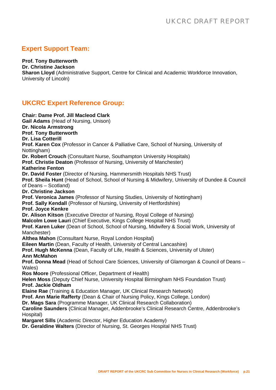## **Expert Support Team:**

**Prof. Tony Butterworth**

**Dr. Christine Jackson**

**Sharon Lloyd** (Administrative Support, Centre for Clinical and Academic Workforce Innovation, University of Lincoln)

## **UKCRC Expert Reference Group:**

**Chair: Dame Prof. Jill Macleod Clark Gail Adams** (Head of Nursing, Unison) **Dr. Nicola Armstrong Prof. Tony Butterworth Dr. Lisa Cotterill Prof. Karen Cox** (Professor in Cancer & Palliative Care, School of Nursing, University of Nottingham) **Dr. Robert Crouch** (Consultant Nurse, Southampton University Hospitals) **Prof. Christie Deaton** (Professor of Nursing, University of Manchester) **Katherine Fenton Dr. David Foster** (Director of Nursing, Hammersmith Hospitals NHS Trust) **Prof. Sheila Hunt** (Head of School, School of Nursing & Midwifery, University of Dundee & Council of Deans – Scotland) **Dr. Christine Jackson Prof. Veronica James** (Professor of Nursing Studies, University of Nottingham) **Prof. Sally Kendall** (Professor of Nursing, University of Hertfordshire) **Prof. Joyce Kenkre Dr. Alison Kitson** (Executive Director of Nursing, Royal College of Nursing) **Malcolm Lowe Lauri** (Chief Executive, Kings College Hospital NHS Trust) **Prof. Karen Luker** (Dean of School, School of Nursing, Midwifery & Social Work, University of Manchester) **Althea Mahon** (Consultant Nurse, Royal London Hospital) **Eileen Martin** (Dean, Faculty of Health, University of Central Lancashire) **Prof. Hugh McKenna** (Dean, Faculty of Life, Health & Sciences, University of Ulster) **Ann McMahon Prof. Donna Mead** (Head of School Care Sciences, University of Glamorgan & Council of Deans – Wales) **Ros Moore** (Professional Officer, Department of Health) **Helen Moss** (Deputy Chief Nurse, University Hospital Birmingham NHS Foundation Trust) **Prof. Jackie Oldham Elaine Rae** (Training & Education Manager, UK Clinical Research Network) **Prof. Ann Marie Rafferty** (Dean & Chair of Nursing Policy, Kings College, London) **Dr. Mags Sara** (Programme Manager, UK Clinical Research Collaboration) **Caroline Saunders** (Clinical Manager, Addenbrooke's Clinical Research Centre, Addenbrooke's Hospital) **Margaret Sills** (Academic Director, Higher Education Academy) **Dr. Geraldine Walters** (Director of Nursing, St. Georges Hospital NHS Trust)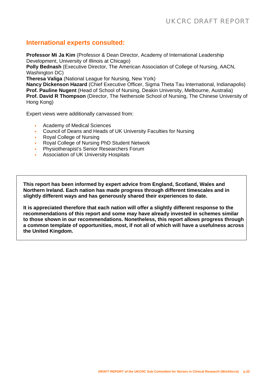### **International experts consulted:**

**Professor Mi Ja Kim** (Professor & Dean Director, Academy of International Leadership Development, University of Illinois at Chicago)

**Polly Bednash** (Executive Director, The American Association of College of Nursing, AACN, Washington DC)

**Theresa Valiga** (National League for Nursing, New York)

**Nancy Dickenson Hazard** (Chief Executive Officer, Sigma Theta Tau International, Indianapolis) **Prof. Pauline Nugent** (Head of School of Nursing, Deakin University, Melbourne, Australia) **Prof. David R Thompson** (Director, The Nethersole School of Nursing, The Chinese University of Hong Kong)

Expert views were additionally canvassed from:

- Academy of Medical Sciences
- Council of Deans and Heads of UK University Faculties for Nursing
- Royal College of Nursing
- Royal College of Nursing PhD Student Network
- Physiotherapist's Senior Researchers Forum
- Association of UK University Hospitals

**This report has been informed by expert advice from England, Scotland, Wales and Northern Ireland. Each nation has made progress through different timescales and in slightly different ways and has generously shared their experiences to date.** 

**It is appreciated therefore that each nation will offer a slightly different response to the recommendations of this report and some may have already invested in schemes similar to those shown in our recommendations. Nonetheless, this report allows progress through a common template of opportunities, most, if not all of which will have a usefulness across the United Kingdom.**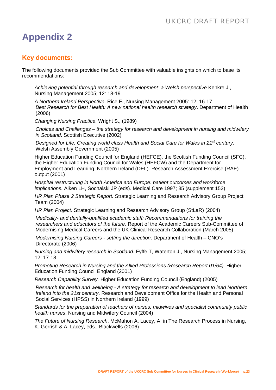## **Key documents:**

The following documents provided the Sub Committee with valuable insights on which to base its recommendations:

*Achieving potential through research and development: a Welsh perspective* Kenkre J., Nursing Management 2005; 12: 18-19

*A Northern Ireland Perspective*. Rice F., Nursing Management 2005: 12: 16-17 *Best Research for Best Health: A new national health research strategy*. Department of Health (2006)

*Changing Nursing Practice*. Wright S., (1989)

*Choices and Challenges – the strategy for research and development in nursing and midwifery in Scotland*. Scottish Executive (2002)

Designed for Life: Creating world class Health and Social Care for Wales in 21<sup>st</sup> century. Welsh Assembly Government (2005)

Higher Education Funding Council for England (HEFCE), the Scottish Funding Council (SFC), the Higher Education Funding Council for Wales (HEFCW) and the Department for Employment and Learning, Northern Ireland (DEL). Research Assessment Exercise (RAE) output (2001)

*Hospital restructuring in North America and Europe: patient outcomes and workforce implications.* Aiken LH, Sochalski JP (eds). Medical Care 1997; 35 (supplement 152)

*HR Plan Phase 2 Strategic Report.* Strategic Learning and Research Advisory Group Project Team (2004)

*HR Plan Project*. Strategic Learning and Research Advisory Group (StLaR) (2004)

*Medically- and dentally-qualified academic staff: Recommendations for training the researchers and educators of the future.* Report of the Academic Careers Sub-Committee of Modernising Medical Careers and the UK Clinical Research Collaboration (March 2005)

*Modernising Nursing Careers - setting the direction*. Department of Health – CNO's Directorate (2006)

*Nursing and midwifery research in Scotland.* Fyffe T, Waterton J., Nursing Management 2005; 12: 17-18

*Promoting Research in Nursing and the Allied Professions (Research Report 01/64).* Higher Education Funding Council England (2001)

*Research Capability Survey.* Higher Education Funding Council (England) (2005)

*Research for health and wellbeing - A strategy for research and development to lead Northern Ireland into the 21st century*. Research and Development Office for the Health and Personal Social Services (HPSS) in Northern Ireland (1999)

*Standards for the preparation of teachers of nurses, midwives and specialist community public health nurses*. Nursing and Midwifery Council (2004)

*The Future of Nursing Research*. McMahon A, Lacey, A. in The Research Process in Nursing, K. Gerrish & A. Lacey, eds., Blackwells (2006)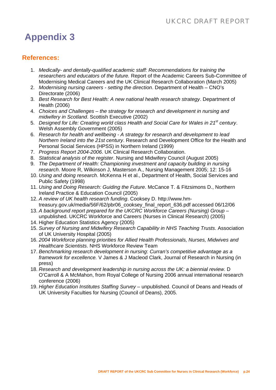## **References:**

- 1. *Medically- and dentally-qualified academic staff: Recommendations for training the researchers and educators of the future.* Report of the Academic Careers Sub-Committee of Modernising Medical Careers and the UK Clinical Research Collaboration (March 2005)
- 2. *Modernising nursing careers setting the direction*. Department of Health CNO's Directorate (2006)
- 3. *Best Research for Best Health: A new national health research strategy*. Department of Health (2006)
- 4. *Choices and Challenges the strategy for research and development in nursing and midwifery in Scotland*. Scottish Executive (2002)
- 5. *Designed for Life: Creating world class Health and Social Care for Wales in 21st century*. Welsh Assembly Government (2005)
- 6. *Research for health and wellbeing A strategy for research and development to lead Northern Ireland into the 21st century*. Research and Development Office for the Health and Personal Social Services (HPSS) in Northern Ireland (1999)
- 7. *Progress Report 2004-2006*. UK Clinical Research Collaboration.
- 8. *Statistical analysis of the register*. Nursing and Midwifery Council (August 2005)
- 9. *The Department of Health: Championing investment and capacity building in nursing research*. Moore R, Wilkinson J, Masterson A., Nursing Management 2005; 12: 15-16
- 10. *Using and doing research*. McKenna H et al., Department of Health, Social Services and Public Safety (1998)
- 11. *Using and Doing Research: Guiding the Future*. McCance T. & Fitzsimons D., Northern Ireland Practice & Education Council (2005)
- 12. *A review of UK health research funding*. Cooksey D. [http://www.hm](http://www.hm-treasury.gov.uk/media/56F/62/pbr06_cooksey_final_report_636.pdf)[treasury.gov.uk/media/56F/62/pbr06\\_cooksey\\_final\\_report\\_636.pdf](http://www.hm-treasury.gov.uk/media/56F/62/pbr06_cooksey_final_report_636.pdf) accessed 06/12/06
- 13. *A background report prepared for the UKCRC Workforce Careers (Nursing) Group* unpublished. UKCRC Workforce and Careers (Nurses in Clinical Research) (2005)
- 14. Higher Education Statistics Agency (2005)
- 15. *Survey of Nursing and Midwifery Research Capability in NHS Teaching Trusts*. Association of UK University Hospital (2005)
- 16. *2004 Workforce planning priorities for Allied Health Professionals, Nurses, Midwives and Healthcare Scientists*. NHS Workforce Review Team
- 17. *Benchmarking research development in nursing*: *Curran's competitive advantage as a framework for excellence.* V James & J Macleod Clark, Journal of Research in Nursing (in press)
- 18. *Research and development leadership in nursing across the UK: a biennial review*. D O'Carroll & A McMahon, from Royal College of Nursing 2006 annual international research conference (2006)
- 19. *Higher Education Institutes Staffing Survey* unpublished. Council of Deans and Heads of UK University Faculties for Nursing (Council of Deans), 2005.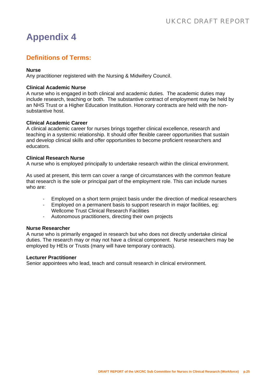## **Definitions of Terms:**

### **Nurse**

Any practitioner registered with the Nursing & Midwifery Council.

### **Clinical Academic Nurse**

A nurse who is engaged in both clinical and academic duties. The academic duties may include research, teaching or both. The substantive contract of employment may be held by an NHS Trust or a Higher Education Institution. Honorary contracts are held with the nonsubstantive host.

### **Clinical Academic Career**

A clinical academic career for nurses brings together clinical excellence, research and teaching in a systemic relationship. It should offer flexible career opportunities that sustain and develop clinical skills and offer opportunities to become proficient researchers and educators.

### **Clinical Research Nurse**

A nurse who is employed principally to undertake research within the clinical environment.

As used at present, this term can cover a range of circumstances with the common feature that research is the sole or principal part of the employment role. This can include nurses who are:

- Employed on a short term project basis under the direction of medical researchers
- Employed on a permanent basis to support research in major facilities, eg: Wellcome Trust Clinical Research Facilities
- Autonomous practitioners, directing their own projects

### **Nurse Researcher**

A nurse who is primarily engaged in research but who does not directly undertake clinical duties. The research may or may not have a clinical component. Nurse researchers may be employed by HEIs or Trusts (many will have temporary contracts).

### **Lecturer Practitioner**

Senior appointees who lead, teach and consult research in clinical environment.